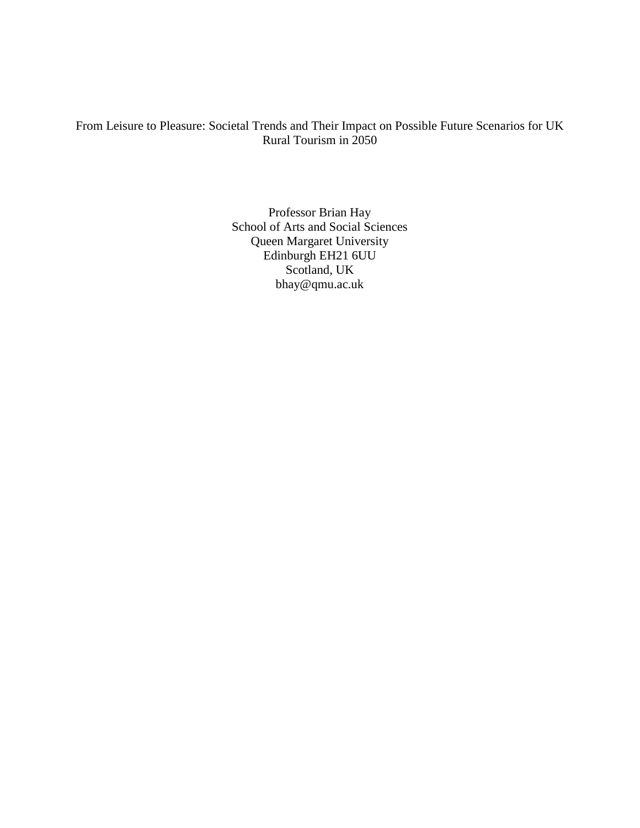# From Leisure to Pleasure: Societal Trends and Their Impact on Possible Future Scenarios for UK Rural Tourism in 2050

Professor Brian Hay School of Arts and Social Sciences Queen Margaret University Edinburgh EH21 6UU Scotland, UK bhay@qmu.ac.uk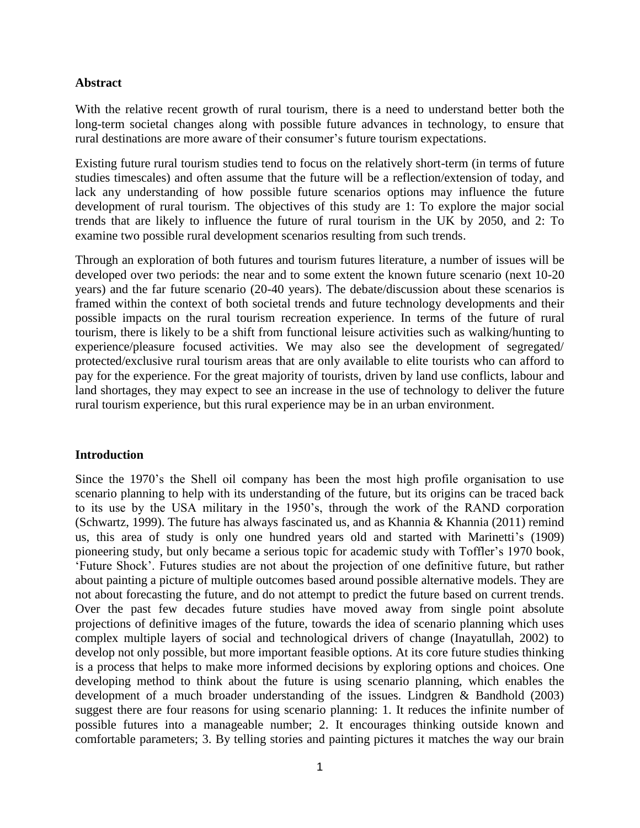#### **Abstract**

With the relative recent growth of rural tourism, there is a need to understand better both the long-term societal changes along with possible future advances in technology, to ensure that rural destinations are more aware of their consumer's future tourism expectations.

Existing future rural tourism studies tend to focus on the relatively short-term (in terms of future studies timescales) and often assume that the future will be a reflection/extension of today, and lack any understanding of how possible future scenarios options may influence the future development of rural tourism. The objectives of this study are 1: To explore the major social trends that are likely to influence the future of rural tourism in the UK by 2050, and 2: To examine two possible rural development scenarios resulting from such trends.

Through an exploration of both futures and tourism futures literature, a number of issues will be developed over two periods: the near and to some extent the known future scenario (next 10-20 years) and the far future scenario (20-40 years). The debate/discussion about these scenarios is framed within the context of both societal trends and future technology developments and their possible impacts on the rural tourism recreation experience. In terms of the future of rural tourism, there is likely to be a shift from functional leisure activities such as walking/hunting to experience/pleasure focused activities. We may also see the development of segregated/ protected/exclusive rural tourism areas that are only available to elite tourists who can afford to pay for the experience. For the great majority of tourists, driven by land use conflicts, labour and land shortages, they may expect to see an increase in the use of technology to deliver the future rural tourism experience, but this rural experience may be in an urban environment.

#### **Introduction**

Since the 1970's the Shell oil company has been the most high profile organisation to use scenario planning to help with its understanding of the future, but its origins can be traced back to its use by the USA military in the 1950's, through the work of the RAND corporation (Schwartz, 1999). The future has always fascinated us, and as Khannia & Khannia (2011) remind us, this area of study is only one hundred years old and started with Marinetti's (1909) pioneering study, but only became a serious topic for academic study with Toffler's 1970 book, 'Future Shock'. Futures studies are not about the projection of one definitive future, but rather about painting a picture of multiple outcomes based around possible alternative models. They are not about forecasting the future, and do not attempt to predict the future based on current trends. Over the past few decades future studies have moved away from single point absolute projections of definitive images of the future, towards the idea of scenario planning which uses complex multiple layers of social and technological drivers of change (Inayatullah, 2002) to develop not only possible, but more important feasible options. At its core future studies thinking is a process that helps to make more informed decisions by exploring options and choices. One developing method to think about the future is using scenario planning, which enables the development of a much broader understanding of the issues. Lindgren & Bandhold (2003) suggest there are four reasons for using scenario planning: 1. It reduces the infinite number of possible futures into a manageable number; 2. It encourages thinking outside known and comfortable parameters; 3. By telling stories and painting pictures it matches the way our brain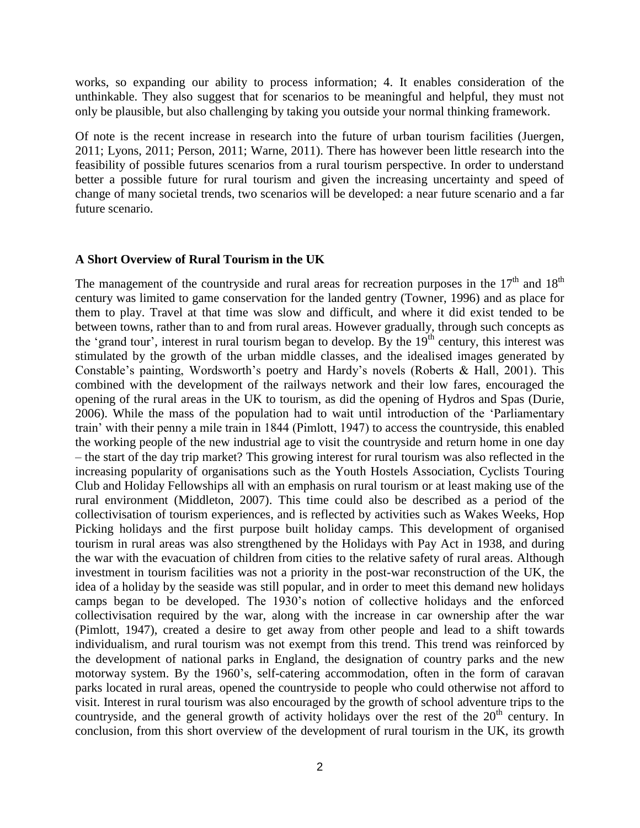works, so expanding our ability to process information; 4. It enables consideration of the unthinkable. They also suggest that for scenarios to be meaningful and helpful, they must not only be plausible, but also challenging by taking you outside your normal thinking framework.

Of note is the recent increase in research into the future of urban tourism facilities (Juergen, 2011; Lyons, 2011; Person, 2011; Warne, 2011). There has however been little research into the feasibility of possible futures scenarios from a rural tourism perspective. In order to understand better a possible future for rural tourism and given the increasing uncertainty and speed of change of many societal trends, two scenarios will be developed: a near future scenario and a far future scenario.

#### **A Short Overview of Rural Tourism in the UK**

The management of the countryside and rural areas for recreation purposes in the  $17<sup>th</sup>$  and  $18<sup>th</sup>$ century was limited to game conservation for the landed gentry (Towner, 1996) and as place for them to play. Travel at that time was slow and difficult, and where it did exist tended to be between towns, rather than to and from rural areas. However gradually, through such concepts as the 'grand tour', interest in rural tourism began to develop. By the  $19<sup>th</sup>$  century, this interest was stimulated by the growth of the urban middle classes, and the idealised images generated by Constable's painting, Wordsworth's poetry and Hardy's novels (Roberts & Hall, 2001). This combined with the development of the railways network and their low fares, encouraged the opening of the rural areas in the UK to tourism, as did the opening of Hydros and Spas (Durie, 2006). While the mass of the population had to wait until introduction of the 'Parliamentary train' with their penny a mile train in 1844 (Pimlott, 1947) to access the countryside, this enabled the working people of the new industrial age to visit the countryside and return home in one day – the start of the day trip market? This growing interest for rural tourism was also reflected in the increasing popularity of organisations such as the Youth Hostels Association, Cyclists Touring Club and Holiday Fellowships all with an emphasis on rural tourism or at least making use of the rural environment (Middleton, 2007). This time could also be described as a period of the collectivisation of tourism experiences, and is reflected by activities such as Wakes Weeks, Hop Picking holidays and the first purpose built holiday camps. This development of organised tourism in rural areas was also strengthened by the Holidays with Pay Act in 1938, and during the war with the evacuation of children from cities to the relative safety of rural areas. Although investment in tourism facilities was not a priority in the post-war reconstruction of the UK, the idea of a holiday by the seaside was still popular, and in order to meet this demand new holidays camps began to be developed. The 1930's notion of collective holidays and the enforced collectivisation required by the war, along with the increase in car ownership after the war (Pimlott, 1947), created a desire to get away from other people and lead to a shift towards individualism, and rural tourism was not exempt from this trend. This trend was reinforced by the development of national parks in England, the designation of country parks and the new motorway system. By the 1960's, self-catering accommodation, often in the form of caravan parks located in rural areas, opened the countryside to people who could otherwise not afford to visit. Interest in rural tourism was also encouraged by the growth of school adventure trips to the countryside, and the general growth of activity holidays over the rest of the  $20<sup>th</sup>$  century. In conclusion, from this short overview of the development of rural tourism in the UK, its growth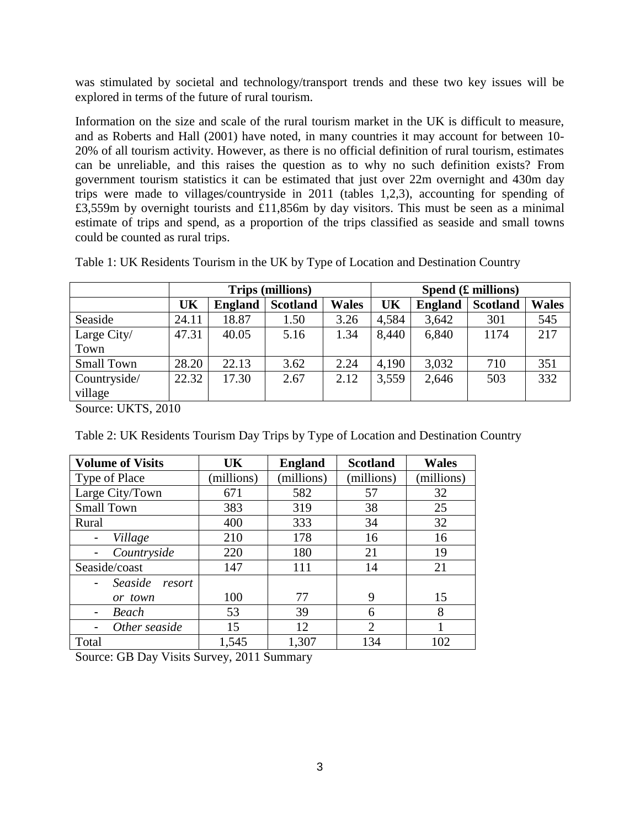was stimulated by societal and technology/transport trends and these two key issues will be explored in terms of the future of rural tourism.

Information on the size and scale of the rural tourism market in the UK is difficult to measure, and as Roberts and Hall (2001) have noted, in many countries it may account for between 10- 20% of all tourism activity. However, as there is no official definition of rural tourism, estimates can be unreliable, and this raises the question as to why no such definition exists? From government tourism statistics it can be estimated that just over 22m overnight and 430m day trips were made to villages/countryside in 2011 (tables 1,2,3), accounting for spending of £3,559m by overnight tourists and £11,856m by day visitors. This must be seen as a minimal estimate of trips and spend, as a proportion of the trips classified as seaside and small towns could be counted as rural trips.

| Table 1: UK Residents Tourism in the UK by Type of Location and Destination Country |  |
|-------------------------------------------------------------------------------------|--|
|-------------------------------------------------------------------------------------|--|

|                         | <b>Trips (millions)</b> |                |                 | Spend $(E$ millions) |       |                |                 |              |
|-------------------------|-------------------------|----------------|-----------------|----------------------|-------|----------------|-----------------|--------------|
|                         | UK                      | <b>England</b> | <b>Scotland</b> | <b>Wales</b>         | UK    | <b>England</b> | <b>Scotland</b> | <b>Wales</b> |
| Seaside                 | 24.11                   | 18.87          | 1.50            | 3.26                 | 4,584 | 3,642          | 301             | 545          |
| Large City/             | 47.31                   | 40.05          | 5.16            | 1.34                 | 8,440 | 6,840          | 1174            | 217          |
| Town                    |                         |                |                 |                      |       |                |                 |              |
| <b>Small Town</b>       | 28.20                   | 22.13          | 3.62            | 2.24                 | 4,190 | 3,032          | 710             | 351          |
| Countryside/<br>village | 22.32                   | 17.30          | 2.67            | 2.12                 | 3,559 | 2,646          | 503             | 332          |

Source: UKTS, 2010

Table 2: UK Residents Tourism Day Trips by Type of Location and Destination Country

| <b>Volume of Visits</b> | UK         | <b>England</b> | <b>Scotland</b> | <b>Wales</b> |
|-------------------------|------------|----------------|-----------------|--------------|
| Type of Place           | (millions) | (millions)     | (millions)      | (millions)   |
| Large City/Town         | 671        | 582            | 57              | 32           |
| <b>Small Town</b>       | 383        | 319            | 38              | 25           |
| Rural                   | 400        | 333            | 34              | 32           |
| Village                 | 210        | 178            | 16              | 16           |
| Countryside             | 220        | 180            | 21              | 19           |
| Seaside/coast           | 147        | 111            | 14              | 21           |
| Seaside<br>resort       |            |                |                 |              |
| or town                 | 100        | 77             | 9               | 15           |
| Beach                   | 53         | 39             | 6               | 8            |
| Other seaside           | 15         | 12             | $\overline{2}$  | 1            |
| Total                   | 1,545      | 1,307          | 134             | 102          |

Source: GB Day Visits Survey, 2011 Summary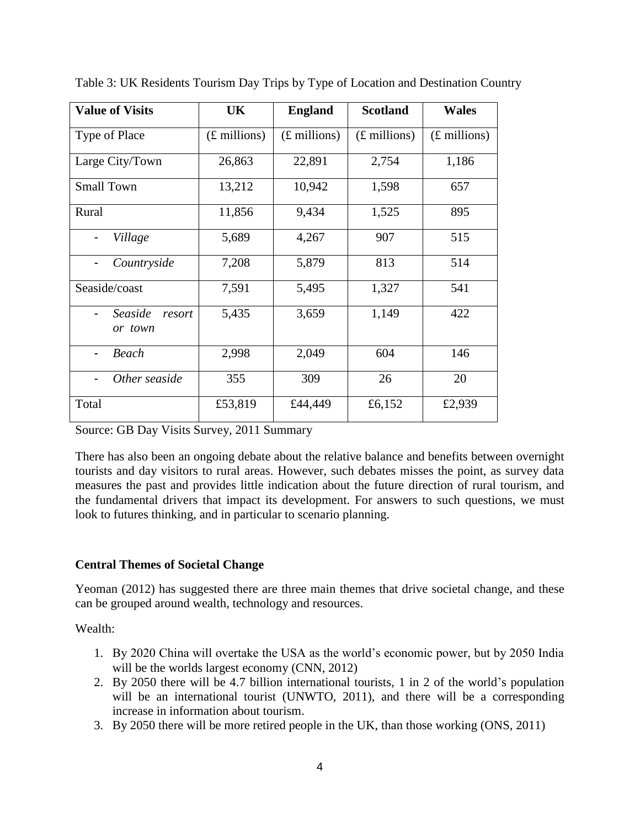| <b>Value of Visits</b>       | UK                     | <b>England</b>         | <b>Scotland</b> | <b>Wales</b>           |
|------------------------------|------------------------|------------------------|-----------------|------------------------|
| Type of Place                | $(E \text{ millions})$ | $(E \text{ millions})$ | $(E$ millions)  | $(E \text{ millions})$ |
| Large City/Town              | 26,863                 | 22,891                 | 2,754           | 1,186                  |
| <b>Small Town</b>            | 13,212                 | 10,942                 | 1,598           | 657                    |
| Rural                        | 11,856                 | 9,434                  | 1,525           | 895                    |
| Village                      | 5,689                  | 4,267                  | 907             | 515                    |
| Countryside                  | 7,208                  | 5,879                  | 813             | 514                    |
| Seaside/coast                | 7,591                  | 5,495                  | 1,327           | 541                    |
| Seaside<br>resort<br>or town | 5,435                  | 3,659                  | 1,149           | 422                    |
| <b>Beach</b>                 | 2,998                  | 2,049                  | 604             | 146                    |
| Other seaside                | 355                    | 309                    | 26              | 20                     |
| Total                        | £53,819                | £44,449                | £6,152          | £2,939                 |

Table 3: UK Residents Tourism Day Trips by Type of Location and Destination Country

Source: GB Day Visits Survey, 2011 Summary

There has also been an ongoing debate about the relative balance and benefits between overnight tourists and day visitors to rural areas. However, such debates misses the point, as survey data measures the past and provides little indication about the future direction of rural tourism, and the fundamental drivers that impact its development. For answers to such questions, we must look to futures thinking, and in particular to scenario planning.

## **Central Themes of Societal Change**

Yeoman (2012) has suggested there are three main themes that drive societal change, and these can be grouped around wealth, technology and resources.

Wealth:

- 1. By 2020 China will overtake the USA as the world's economic power, but by 2050 India will be the worlds largest economy (CNN, 2012)
- 2. By 2050 there will be 4.7 billion international tourists, 1 in 2 of the world's population will be an international tourist (UNWTO, 2011), and there will be a corresponding increase in information about tourism.
- 3. By 2050 there will be more retired people in the UK, than those working (ONS, 2011)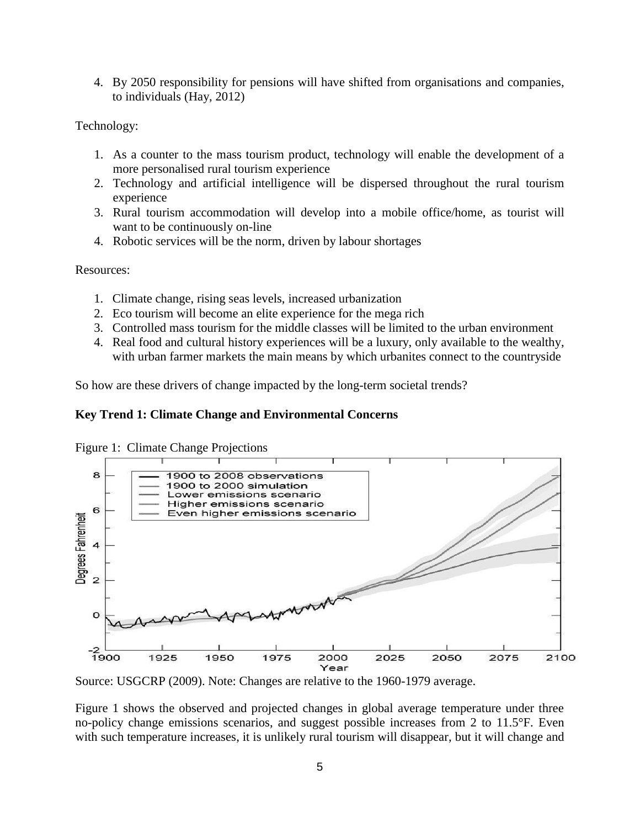4. By 2050 responsibility for pensions will have shifted from organisations and companies, to individuals (Hay, 2012)

Technology:

- 1. As a counter to the mass tourism product, technology will enable the development of a more personalised rural tourism experience
- 2. Technology and artificial intelligence will be dispersed throughout the rural tourism experience
- 3. Rural tourism accommodation will develop into a mobile office/home, as tourist will want to be continuously on-line
- 4. Robotic services will be the norm, driven by labour shortages

Resources:

- 1. Climate change, rising seas levels, increased urbanization
- 2. Eco tourism will become an elite experience for the mega rich
- 3. Controlled mass tourism for the middle classes will be limited to the urban environment
- 4. Real food and cultural history experiences will be a luxury, only available to the wealthy, with urban farmer markets the main means by which urbanites connect to the countryside

So how are these drivers of change impacted by the long-term societal trends?

### **Key Trend 1: Climate Change and Environmental Concerns**





Source: USGCRP (2009). Note: Changes are relative to the 1960-1979 average.

Figure 1 shows the observed and projected changes in global average temperature under three no-policy change emissions scenarios, and suggest possible increases from 2 to 11.5°F. Even with such temperature increases, it is unlikely rural tourism will disappear, but it will change and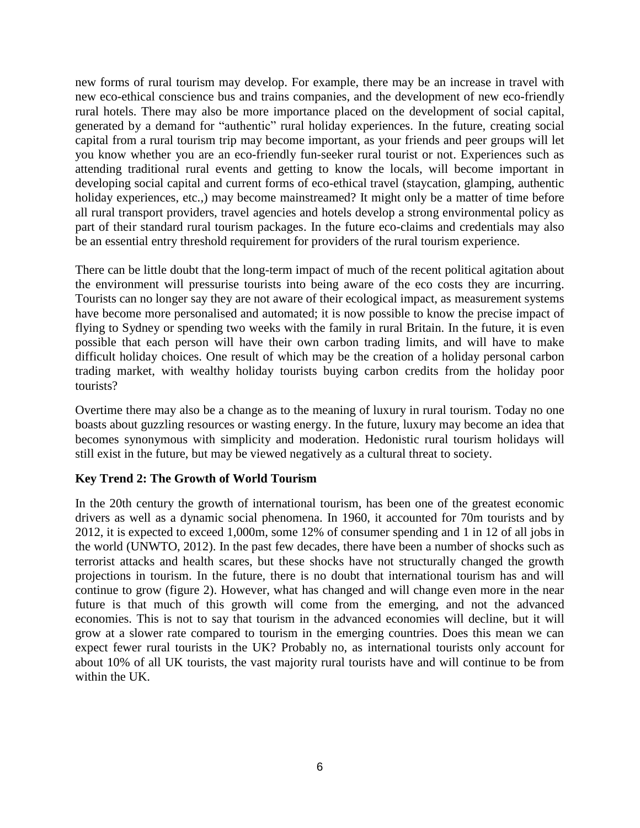new forms of rural tourism may develop. For example, there may be an increase in travel with new eco-ethical conscience bus and trains companies, and the development of new eco-friendly rural hotels. There may also be more importance placed on the development of social capital, generated by a demand for "authentic" rural holiday experiences. In the future, creating social capital from a rural tourism trip may become important, as your friends and peer groups will let you know whether you are an eco-friendly fun-seeker rural tourist or not. Experiences such as attending traditional rural events and getting to know the locals, will become important in developing social capital and current forms of eco-ethical travel (staycation, glamping, authentic holiday experiences, etc.,) may become mainstreamed? It might only be a matter of time before all rural transport providers, travel agencies and hotels develop a strong environmental policy as part of their standard rural tourism packages. In the future eco-claims and credentials may also be an essential entry threshold requirement for providers of the rural tourism experience.

There can be little doubt that the long-term impact of much of the recent political agitation about the environment will pressurise tourists into being aware of the eco costs they are incurring. Tourists can no longer say they are not aware of their ecological impact, as measurement systems have become more personalised and automated; it is now possible to know the precise impact of flying to Sydney or spending two weeks with the family in rural Britain. In the future, it is even possible that each person will have their own carbon trading limits, and will have to make difficult holiday choices. One result of which may be the creation of a holiday personal carbon trading market, with wealthy holiday tourists buying carbon credits from the holiday poor tourists?

Overtime there may also be a change as to the meaning of luxury in rural tourism. Today no one boasts about guzzling resources or wasting energy. In the future, luxury may become an idea that becomes synonymous with simplicity and moderation. Hedonistic rural tourism holidays will still exist in the future, but may be viewed negatively as a cultural threat to society.

### **Key Trend 2: The Growth of World Tourism**

In the 20th century the growth of international tourism, has been one of the greatest economic drivers as well as a dynamic social phenomena. In 1960, it accounted for 70m tourists and by 2012, it is expected to exceed 1,000m, some 12% of consumer spending and 1 in 12 of all jobs in the world (UNWTO, 2012). In the past few decades, there have been a number of shocks such as terrorist attacks and health scares, but these shocks have not structurally changed the growth projections in tourism. In the future, there is no doubt that international tourism has and will continue to grow (figure 2). However, what has changed and will change even more in the near future is that much of this growth will come from the emerging, and not the advanced economies. This is not to say that tourism in the advanced economies will decline, but it will grow at a slower rate compared to tourism in the emerging countries. Does this mean we can expect fewer rural tourists in the UK? Probably no, as international tourists only account for about 10% of all UK tourists, the vast majority rural tourists have and will continue to be from within the UK.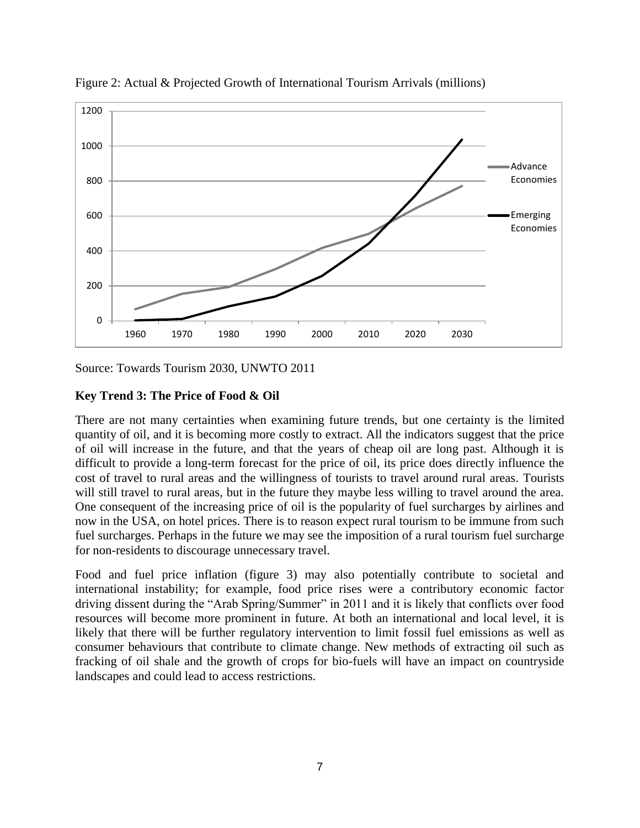

Figure 2: Actual & Projected Growth of International Tourism Arrivals (millions)

Source: Towards Tourism 2030, UNWTO 2011

### **Key Trend 3: The Price of Food & Oil**

There are not many certainties when examining future trends, but one certainty is the limited quantity of oil, and it is becoming more costly to extract. All the indicators suggest that the price of oil will increase in the future, and that the years of cheap oil are long past. Although it is difficult to provide a long-term forecast for the price of oil, its price does directly influence the cost of travel to rural areas and the willingness of tourists to travel around rural areas. Tourists will still travel to rural areas, but in the future they maybe less willing to travel around the area. One consequent of the increasing price of oil is the popularity of fuel surcharges by airlines and now in the USA, on hotel prices. There is to reason expect rural tourism to be immune from such fuel surcharges. Perhaps in the future we may see the imposition of a rural tourism fuel surcharge for non-residents to discourage unnecessary travel.

Food and fuel price inflation (figure 3) may also potentially contribute to societal and international instability; for example, food price rises were a contributory economic factor driving dissent during the "Arab Spring/Summer" in 2011 and it is likely that conflicts over food resources will become more prominent in future. At both an international and local level, it is likely that there will be further regulatory intervention to limit fossil fuel emissions as well as consumer behaviours that contribute to climate change. New methods of extracting oil such as fracking of oil shale and the growth of crops for bio-fuels will have an impact on countryside landscapes and could lead to access restrictions.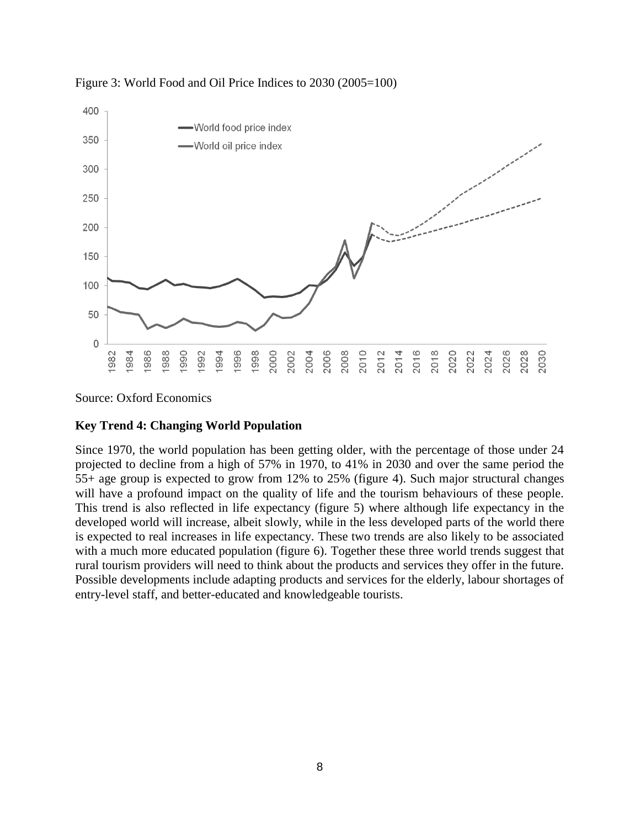

Figure 3: World Food and Oil Price Indices to 2030 (2005=100)

Source: Oxford Economics

## **Key Trend 4: Changing World Population**

Since 1970, the world population has been getting older, with the percentage of those under 24 projected to decline from a high of 57% in 1970, to 41% in 2030 and over the same period the 55+ age group is expected to grow from 12% to 25% (figure 4). Such major structural changes will have a profound impact on the quality of life and the tourism behaviours of these people. This trend is also reflected in life expectancy (figure 5) where although life expectancy in the developed world will increase, albeit slowly, while in the less developed parts of the world there is expected to real increases in life expectancy. These two trends are also likely to be associated with a much more educated population (figure 6). Together these three world trends suggest that rural tourism providers will need to think about the products and services they offer in the future. Possible developments include adapting products and services for the elderly, labour shortages of entry-level staff, and better-educated and knowledgeable tourists.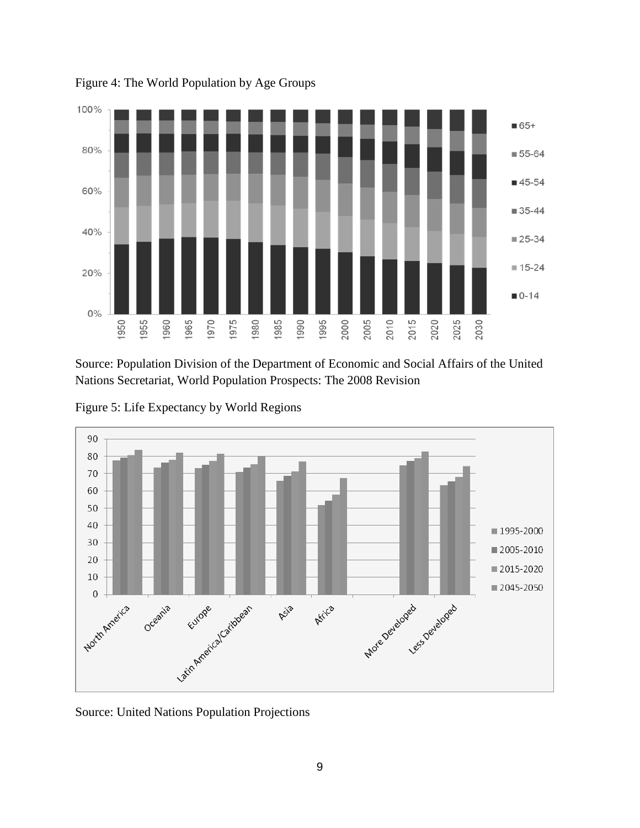

Figure 4: The World Population by Age Groups

Source: Population Division of the Department of Economic and Social Affairs of the United Nations Secretariat, World Population Prospects: The 2008 Revision

Figure 5: Life Expectancy by World Regions



Source: United Nations Population Projections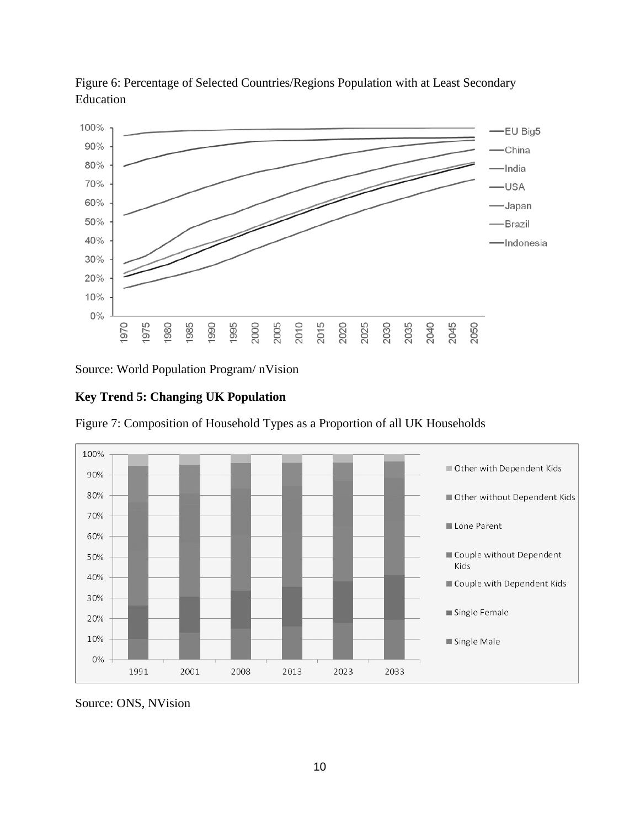

Figure 6: Percentage of Selected Countries/Regions Population with at Least Secondary Education

Source: World Population Program/ nVision

### **Key Trend 5: Changing UK Population**



Figure 7: Composition of Household Types as a Proportion of all UK Households

Source: ONS, NVision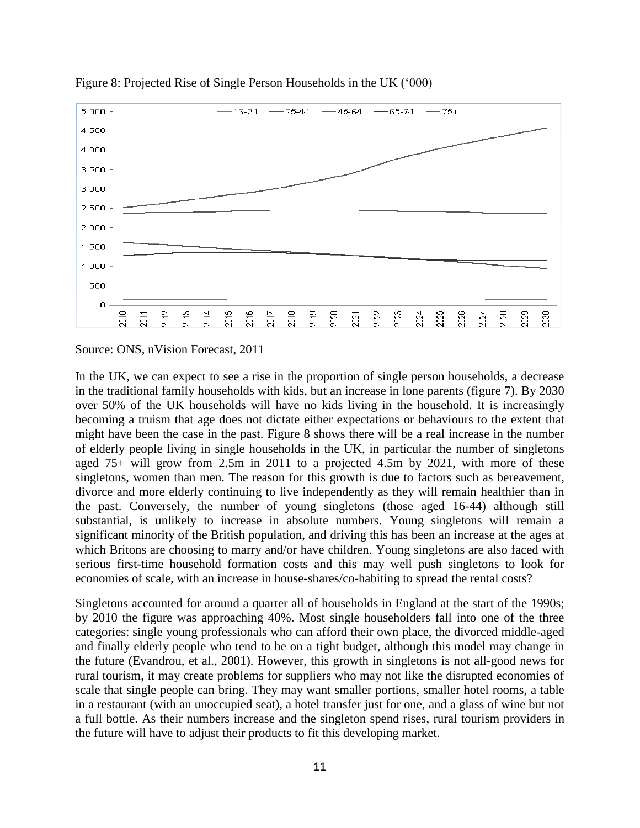

Figure 8: Projected Rise of Single Person Households in the UK ('000)

Source: ONS, nVision Forecast, 2011

In the UK, we can expect to see a rise in the proportion of single person households, a decrease in the traditional family households with kids, but an increase in lone parents (figure 7). By 2030 over 50% of the UK households will have no kids living in the household. It is increasingly becoming a truism that age does not dictate either expectations or behaviours to the extent that might have been the case in the past. Figure 8 shows there will be a real increase in the number of elderly people living in single households in the UK, in particular the number of singletons aged 75+ will grow from 2.5m in 2011 to a projected 4.5m by 2021, with more of these singletons, women than men. The reason for this growth is due to factors such as bereavement, divorce and more elderly continuing to live independently as they will remain healthier than in the past. Conversely, the number of young singletons (those aged 16-44) although still substantial, is unlikely to increase in absolute numbers. Young singletons will remain a significant minority of the British population, and driving this has been an increase at the ages at which Britons are choosing to marry and/or have children. Young singletons are also faced with serious first-time household formation costs and this may well push singletons to look for economies of scale, with an increase in house-shares/co-habiting to spread the rental costs?

Singletons accounted for around a quarter all of households in England at the start of the 1990s; by 2010 the figure was approaching 40%. Most single householders fall into one of the three categories: single young professionals who can afford their own place, the divorced middle-aged and finally elderly people who tend to be on a tight budget, although this model may change in the future (Evandrou, et al., 2001). However, this growth in singletons is not all-good news for rural tourism, it may create problems for suppliers who may not like the disrupted economies of scale that single people can bring. They may want smaller portions, smaller hotel rooms, a table in a restaurant (with an unoccupied seat), a hotel transfer just for one, and a glass of wine but not a full bottle. As their numbers increase and the singleton spend rises, rural tourism providers in the future will have to adjust their products to fit this developing market.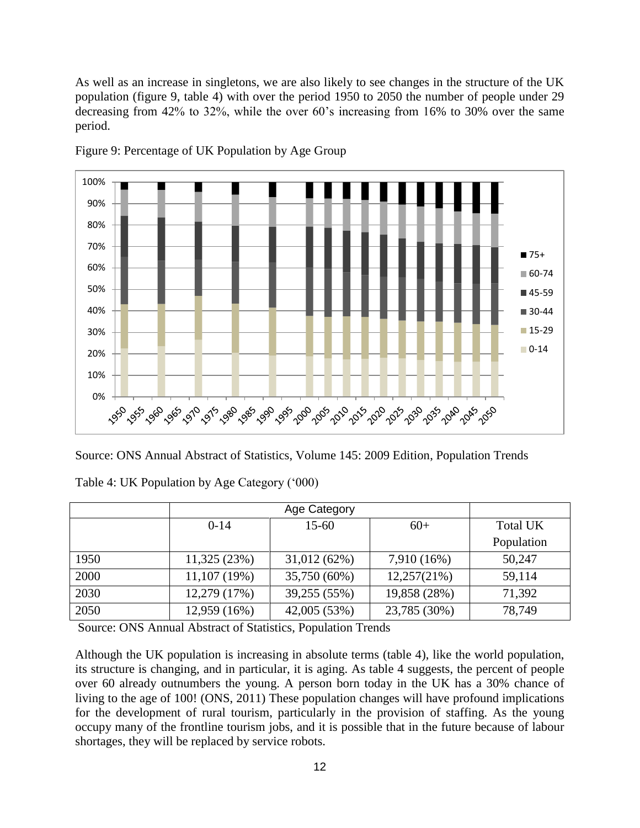As well as an increase in singletons, we are also likely to see changes in the structure of the UK population (figure 9, table 4) with over the period 1950 to 2050 the number of people under 29 decreasing from 42% to 32%, while the over 60's increasing from 16% to 30% over the same period.



Figure 9: Percentage of UK Population by Age Group

Source: ONS Annual Abstract of Statistics, Volume 145: 2009 Edition, Population Trends

|      |              | Age Category |              |                 |  |  |
|------|--------------|--------------|--------------|-----------------|--|--|
|      | $0-14$       | $15 - 60$    | $60+$        | <b>Total UK</b> |  |  |
|      |              |              |              | Population      |  |  |
| 1950 | 11,325(23%)  | 31,012(62%)  | 7,910 (16%)  | 50,247          |  |  |
| 2000 | 11,107(19%)  | 35,750 (60%) | 12,257(21%)  | 59,114          |  |  |
| 2030 | 12,279 (17%) | 39,255 (55%) | 19,858 (28%) | 71,392          |  |  |
| 2050 | 12,959 (16%) | 42,005 (53%) | 23,785 (30%) | 78,749          |  |  |

Table 4: UK Population by Age Category ('000)

Source: ONS Annual Abstract of Statistics, Population Trends

Although the UK population is increasing in absolute terms (table 4), like the world population, its structure is changing, and in particular, it is aging. As table 4 suggests, the percent of people over 60 already outnumbers the young. A person born today in the UK has a 30% chance of living to the age of 100! (ONS, 2011) These population changes will have profound implications for the development of rural tourism, particularly in the provision of staffing. As the young occupy many of the frontline tourism jobs, and it is possible that in the future because of labour shortages, they will be replaced by service robots.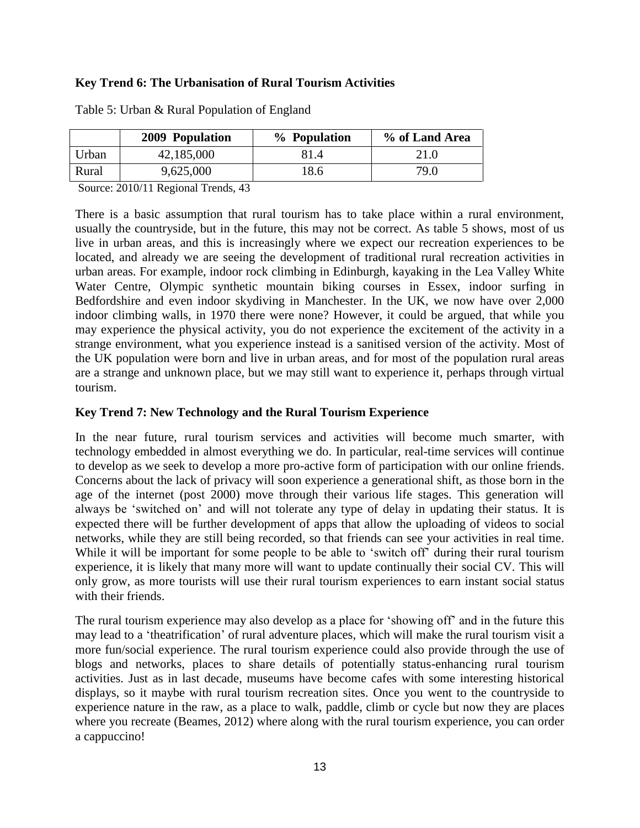### **Key Trend 6: The Urbanisation of Rural Tourism Activities**

|       | 2009 Population | % Population | % of Land Area |
|-------|-----------------|--------------|----------------|
| Urban | 42,185,000      | 81.4         | 21.0           |
| Rural | 9,625,000       | 18.6         | 79.0           |

Table 5: Urban & Rural Population of England

Source: 2010/11 Regional Trends, 43

There is a basic assumption that rural tourism has to take place within a rural environment, usually the countryside, but in the future, this may not be correct. As table 5 shows, most of us live in urban areas, and this is increasingly where we expect our recreation experiences to be located, and already we are seeing the development of traditional rural recreation activities in urban areas. For example, indoor rock climbing in Edinburgh, kayaking in the Lea Valley White Water Centre, Olympic synthetic mountain biking courses in Essex, indoor surfing in Bedfordshire and even indoor skydiving in Manchester. In the UK, we now have over 2,000 indoor climbing walls, in 1970 there were none? However, it could be argued, that while you may experience the physical activity, you do not experience the excitement of the activity in a strange environment, what you experience instead is a sanitised version of the activity. Most of the UK population were born and live in urban areas, and for most of the population rural areas are a strange and unknown place, but we may still want to experience it, perhaps through virtual tourism.

#### **Key Trend 7: New Technology and the Rural Tourism Experience**

In the near future, rural tourism services and activities will become much smarter, with technology embedded in almost everything we do. In particular, real-time services will continue to develop as we seek to develop a more pro-active form of participation with our online friends. Concerns about the lack of privacy will soon experience a generational shift, as those born in the age of the internet (post 2000) move through their various life stages. This generation will always be 'switched on' and will not tolerate any type of delay in updating their status. It is expected there will be further development of apps that allow the uploading of videos to social networks, while they are still being recorded, so that friends can see your activities in real time. While it will be important for some people to be able to 'switch off' during their rural tourism experience, it is likely that many more will want to update continually their social CV. This will only grow, as more tourists will use their rural tourism experiences to earn instant social status with their friends.

The rural tourism experience may also develop as a place for 'showing off' and in the future this may lead to a 'theatrification' of rural adventure places, which will make the rural tourism visit a more fun/social experience. The rural tourism experience could also provide through the use of blogs and networks, places to share details of potentially status-enhancing rural tourism activities. Just as in last decade, museums have become cafes with some interesting historical displays, so it maybe with rural tourism recreation sites. Once you went to the countryside to experience nature in the raw, as a place to walk, paddle, climb or cycle but now they are places where you recreate (Beames, 2012) where along with the rural tourism experience, you can order a cappuccino!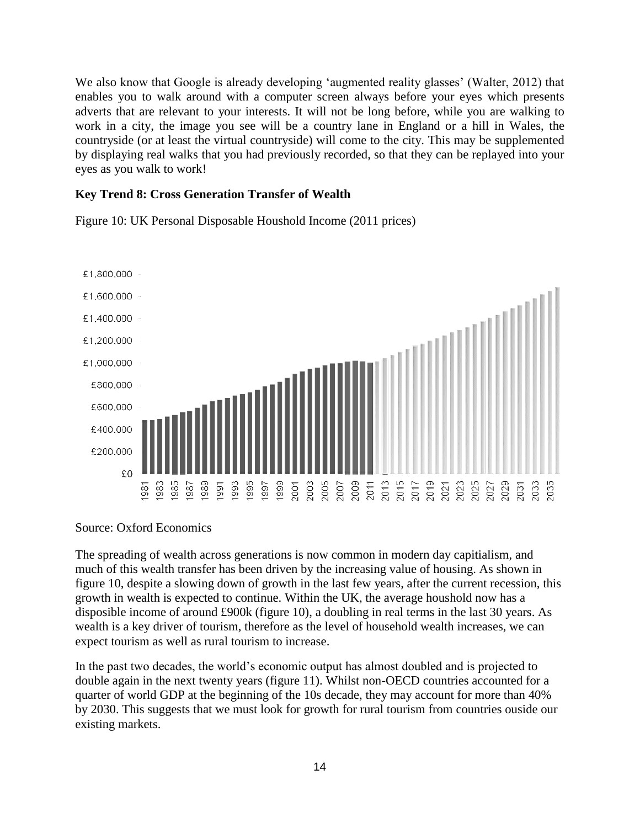We also know that Google is already developing 'augmented reality glasses' (Walter, 2012) that enables you to walk around with a computer screen always before your eyes which presents adverts that are relevant to your interests. It will not be long before, while you are walking to work in a city, the image you see will be a country lane in England or a hill in Wales, the countryside (or at least the virtual countryside) will come to the city. This may be supplemented by displaying real walks that you had previously recorded, so that they can be replayed into your eyes as you walk to work!

#### **Key Trend 8: Cross Generation Transfer of Wealth**

£1.800.000 £1,600,000 £1,400,000 £1,200,000 £1,000,000 £800,000 £600,000 £400,000 £200,000 £0 395<br>995 985 987 989 991 88

Figure 10: UK Personal Disposable Houshold Income (2011 prices)

#### Source: Oxford Economics

The spreading of wealth across generations is now common in modern day capitialism, and much of this wealth transfer has been driven by the increasing value of housing. As shown in figure 10, despite a slowing down of growth in the last few years, after the current recession, this growth in wealth is expected to continue. Within the UK, the average houshold now has a disposible income of around £900k (figure 10), a doubling in real terms in the last 30 years. As wealth is a key driver of tourism, therefore as the level of household wealth increases, we can expect tourism as well as rural tourism to increase.

In the past two decades, the world's economic output has almost doubled and is projected to double again in the next twenty years (figure 11). Whilst non-OECD countries accounted for a quarter of world GDP at the beginning of the 10s decade, they may account for more than 40% by 2030. This suggests that we must look for growth for rural tourism from countries ouside our existing markets.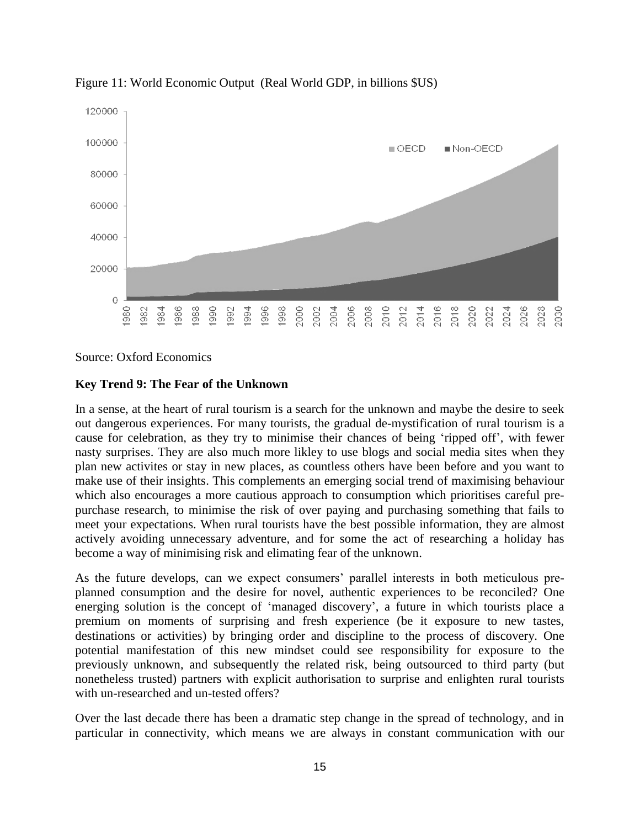

Figure 11: World Economic Output (Real World GDP, in billions \$US)

Source: Oxford Economics

#### **Key Trend 9: The Fear of the Unknown**

In a sense, at the heart of rural tourism is a search for the unknown and maybe the desire to seek out dangerous experiences. For many tourists, the gradual de-mystification of rural tourism is a cause for celebration, as they try to minimise their chances of being 'ripped off', with fewer nasty surprises. They are also much more likley to use blogs and social media sites when they plan new activites or stay in new places, as countless others have been before and you want to make use of their insights. This complements an emerging social trend of maximising behaviour which also encourages a more cautious approach to consumption which prioritises careful prepurchase research, to minimise the risk of over paying and purchasing something that fails to meet your expectations. When rural tourists have the best possible information, they are almost actively avoiding unnecessary adventure, and for some the act of researching a holiday has become a way of minimising risk and elimating fear of the unknown.

As the future develops, can we expect consumers' parallel interests in both meticulous preplanned consumption and the desire for novel, authentic experiences to be reconciled? One energing solution is the concept of 'managed discovery', a future in which tourists place a premium on moments of surprising and fresh experience (be it exposure to new tastes, destinations or activities) by bringing order and discipline to the process of discovery. One potential manifestation of this new mindset could see responsibility for exposure to the previously unknown, and subsequently the related risk, being outsourced to third party (but nonetheless trusted) partners with explicit authorisation to surprise and enlighten rural tourists with un-researched and un-tested offers?

Over the last decade there has been a dramatic step change in the spread of technology, and in particular in connectivity, which means we are always in constant communication with our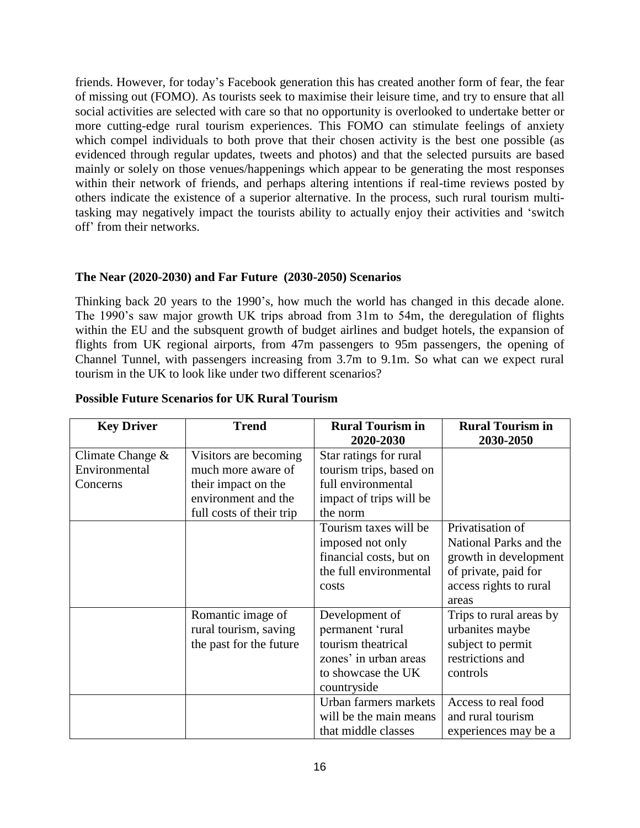friends. However, for today's Facebook generation this has created another form of fear, the fear of missing out (FOMO). As tourists seek to maximise their leisure time, and try to ensure that all social activities are selected with care so that no opportunity is overlooked to undertake better or more cutting-edge rural tourism experiences. This FOMO can stimulate feelings of anxiety which compel individuals to both prove that their chosen activity is the best one possible (as evidenced through regular updates, tweets and photos) and that the selected pursuits are based mainly or solely on those venues/happenings which appear to be generating the most responses within their network of friends, and perhaps altering intentions if real-time reviews posted by others indicate the existence of a superior alternative. In the process, such rural tourism multitasking may negatively impact the tourists ability to actually enjoy their activities and 'switch off' from their networks.

### **The Near (2020-2030) and Far Future (2030-2050) Scenarios**

Thinking back 20 years to the 1990's, how much the world has changed in this decade alone. The 1990's saw major growth UK trips abroad from 31m to 54m, the deregulation of flights within the EU and the subsquent growth of budget airlines and budget hotels, the expansion of flights from UK regional airports, from 47m passengers to 95m passengers, the opening of Channel Tunnel, with passengers increasing from 3.7m to 9.1m. So what can we expect rural tourism in the UK to look like under two different scenarios?

| <b>Key Driver</b>   | <b>Trend</b>             | <b>Rural Tourism in</b> | <b>Rural Tourism in</b> |
|---------------------|--------------------------|-------------------------|-------------------------|
|                     |                          | 2020-2030               | 2030-2050               |
| Climate Change $\&$ | Visitors are becoming    | Star ratings for rural  |                         |
| Environmental       | much more aware of       | tourism trips, based on |                         |
| Concerns            | their impact on the      | full environmental      |                         |
|                     | environment and the      | impact of trips will be |                         |
|                     | full costs of their trip | the norm                |                         |
|                     |                          | Tourism taxes will be   | Privatisation of        |
|                     |                          | imposed not only        | National Parks and the  |
|                     |                          | financial costs, but on | growth in development   |
|                     |                          | the full environmental  | of private, paid for    |
|                     |                          | costs                   | access rights to rural  |
|                     |                          |                         | areas                   |
|                     | Romantic image of        | Development of          | Trips to rural areas by |
|                     | rural tourism, saving    | permanent 'rural        | urbanites maybe         |
|                     | the past for the future  | tourism theatrical      | subject to permit       |
|                     |                          | zones' in urban areas   | restrictions and        |
|                     |                          | to showcase the UK      | controls                |
|                     |                          | countryside             |                         |
|                     |                          | Urban farmers markets   | Access to real food     |
|                     |                          | will be the main means  | and rural tourism       |
|                     |                          | that middle classes     | experiences may be a    |

### **Possible Future Scenarios for UK Rural Tourism**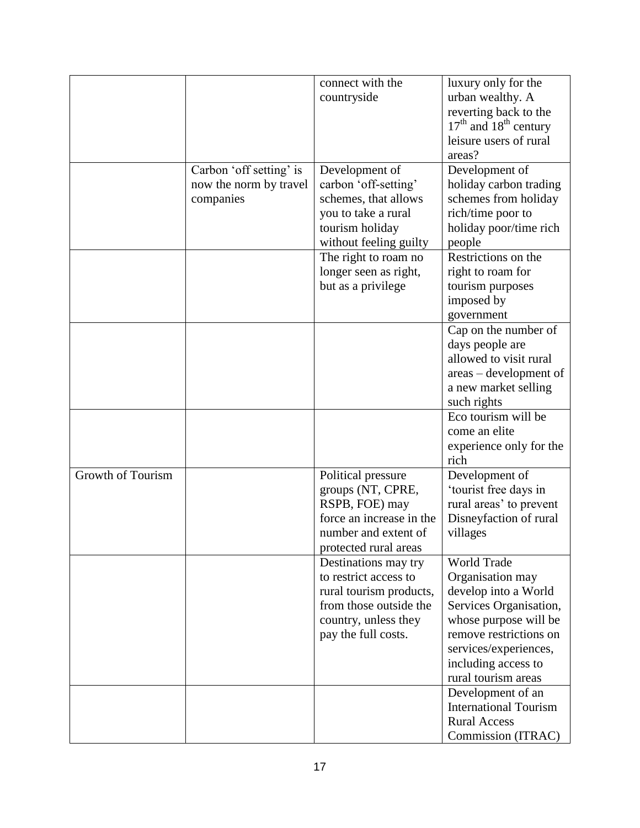|                   |                         | connect with the                              | luxury only for the                       |
|-------------------|-------------------------|-----------------------------------------------|-------------------------------------------|
|                   |                         | countryside                                   | urban wealthy. A                          |
|                   |                         |                                               | reverting back to the                     |
|                   |                         |                                               | $17th$ and $18th$ century                 |
|                   |                         |                                               | leisure users of rural                    |
|                   |                         |                                               | areas?                                    |
|                   | Carbon 'off setting' is | Development of                                | Development of                            |
|                   | now the norm by travel  | carbon 'off-setting'                          | holiday carbon trading                    |
|                   | companies               | schemes, that allows                          | schemes from holiday                      |
|                   |                         |                                               | rich/time poor to                         |
|                   |                         | you to take a rural<br>tourism holiday        | holiday poor/time rich                    |
|                   |                         |                                               | people                                    |
|                   |                         | without feeling guilty                        | Restrictions on the                       |
|                   |                         | The right to roam no<br>longer seen as right, | right to roam for                         |
|                   |                         |                                               |                                           |
|                   |                         | but as a privilege                            | tourism purposes                          |
|                   |                         |                                               | imposed by                                |
|                   |                         |                                               | government                                |
|                   |                         |                                               | Cap on the number of                      |
|                   |                         |                                               | days people are<br>allowed to visit rural |
|                   |                         |                                               |                                           |
|                   |                         |                                               | areas - development of                    |
|                   |                         |                                               | a new market selling                      |
|                   |                         |                                               | such rights<br>Eco tourism will be        |
|                   |                         |                                               |                                           |
|                   |                         |                                               | come an elite                             |
|                   |                         |                                               | experience only for the<br>rich           |
| Growth of Tourism |                         | Political pressure                            | Development of                            |
|                   |                         | groups (NT, CPRE,                             | 'tourist free days in                     |
|                   |                         | RSPB, FOE) may                                | rural areas' to prevent                   |
|                   |                         | force an increase in the                      | Disneyfaction of rural                    |
|                   |                         | number and extent of                          | villages                                  |
|                   |                         | protected rural areas                         |                                           |
|                   |                         | Destinations may try                          | World Trade                               |
|                   |                         | to restrict access to                         | Organisation may                          |
|                   |                         | rural tourism products,                       | develop into a World                      |
|                   |                         | from those outside the                        | Services Organisation,                    |
|                   |                         | country, unless they                          | whose purpose will be                     |
|                   |                         | pay the full costs.                           | remove restrictions on                    |
|                   |                         |                                               | services/experiences,                     |
|                   |                         |                                               | including access to                       |
|                   |                         |                                               | rural tourism areas                       |
|                   |                         |                                               | Development of an                         |
|                   |                         |                                               | <b>International Tourism</b>              |
|                   |                         |                                               | <b>Rural Access</b>                       |
|                   |                         |                                               | Commission (ITRAC)                        |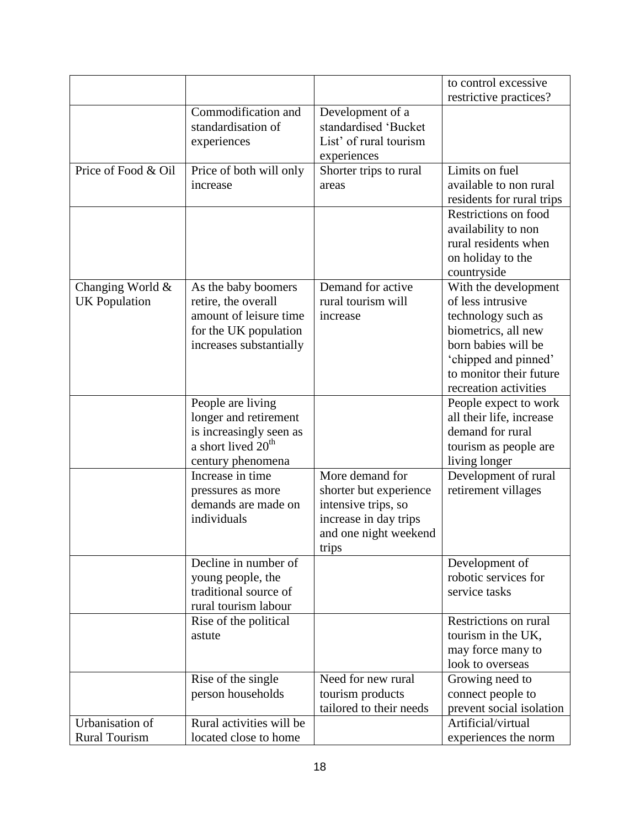|                                          |                                                                                                                              |                                                                                                                             | to control excessive<br>restrictive practices?                                                                                                                                            |
|------------------------------------------|------------------------------------------------------------------------------------------------------------------------------|-----------------------------------------------------------------------------------------------------------------------------|-------------------------------------------------------------------------------------------------------------------------------------------------------------------------------------------|
|                                          | Commodification and<br>standardisation of<br>experiences                                                                     | Development of a<br>standardised 'Bucket<br>List' of rural tourism<br>experiences                                           |                                                                                                                                                                                           |
| Price of Food & Oil                      | Price of both will only<br>increase                                                                                          | Shorter trips to rural<br>areas                                                                                             | Limits on fuel<br>available to non rural<br>residents for rural trips                                                                                                                     |
|                                          |                                                                                                                              |                                                                                                                             | Restrictions on food<br>availability to non<br>rural residents when<br>on holiday to the<br>countryside                                                                                   |
| Changing World &<br><b>UK</b> Population | As the baby boomers<br>retire, the overall<br>amount of leisure time<br>for the UK population<br>increases substantially     | Demand for active<br>rural tourism will<br>increase                                                                         | With the development<br>of less intrusive<br>technology such as<br>biometrics, all new<br>born babies will be<br>'chipped and pinned'<br>to monitor their future<br>recreation activities |
|                                          | People are living<br>longer and retirement<br>is increasingly seen as<br>a short lived 20 <sup>th</sup><br>century phenomena |                                                                                                                             | People expect to work<br>all their life, increase<br>demand for rural<br>tourism as people are<br>living longer                                                                           |
|                                          | Increase in time<br>pressures as more<br>demands are made on<br>individuals                                                  | More demand for<br>shorter but experience<br>intensive trips, so<br>increase in day trips<br>and one night weekend<br>trips | Development of rural<br>retirement villages                                                                                                                                               |
|                                          | Decline in number of<br>young people, the<br>traditional source of<br>rural tourism labour                                   |                                                                                                                             | Development of<br>robotic services for<br>service tasks                                                                                                                                   |
|                                          | Rise of the political<br>astute                                                                                              |                                                                                                                             | Restrictions on rural<br>tourism in the UK,<br>may force many to<br>look to overseas                                                                                                      |
|                                          | Rise of the single<br>person households                                                                                      | Need for new rural<br>tourism products<br>tailored to their needs                                                           | Growing need to<br>connect people to<br>prevent social isolation                                                                                                                          |
| Urbanisation of<br><b>Rural Tourism</b>  | Rural activities will be<br>located close to home                                                                            |                                                                                                                             | Artificial/virtual<br>experiences the norm                                                                                                                                                |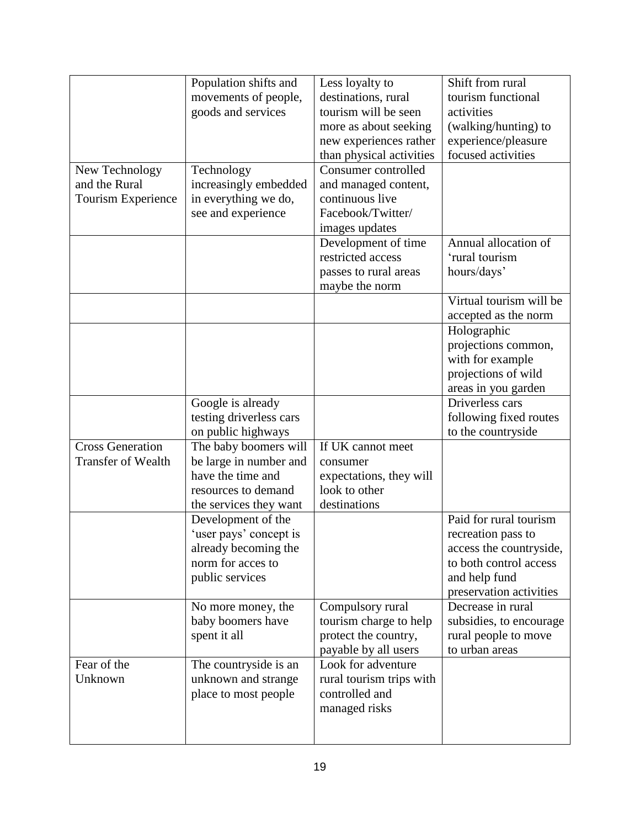|                           | Population shifts and   | Less loyalty to          | Shift from rural        |
|---------------------------|-------------------------|--------------------------|-------------------------|
|                           | movements of people,    | destinations, rural      | tourism functional      |
|                           | goods and services      | tourism will be seen     | activities              |
|                           |                         | more as about seeking    | (walking/hunting) to    |
|                           |                         | new experiences rather   | experience/pleasure     |
|                           |                         | than physical activities | focused activities      |
| New Technology            | Technology              | Consumer controlled      |                         |
| and the Rural             | increasingly embedded   | and managed content,     |                         |
| Tourism Experience        | in everything we do,    | continuous live          |                         |
|                           | see and experience      | Facebook/Twitter/        |                         |
|                           |                         | images updates           |                         |
|                           |                         | Development of time      | Annual allocation of    |
|                           |                         | restricted access        | 'rural tourism          |
|                           |                         | passes to rural areas    | hours/days'             |
|                           |                         | maybe the norm           |                         |
|                           |                         |                          | Virtual tourism will be |
|                           |                         |                          | accepted as the norm    |
|                           |                         |                          | Holographic             |
|                           |                         |                          | projections common,     |
|                           |                         |                          | with for example        |
|                           |                         |                          | projections of wild     |
|                           |                         |                          | areas in you garden     |
|                           | Google is already       |                          | Driverless cars         |
|                           | testing driverless cars |                          | following fixed routes  |
|                           | on public highways      |                          | to the countryside      |
| <b>Cross Generation</b>   | The baby boomers will   | If UK cannot meet        |                         |
| <b>Transfer of Wealth</b> | be large in number and  | consumer                 |                         |
|                           | have the time and       | expectations, they will  |                         |
|                           | resources to demand     | look to other            |                         |
|                           | the services they want  | destinations             |                         |
|                           | Development of the      |                          | Paid for rural tourism  |
|                           | 'user pays' concept is  |                          | recreation pass to      |
|                           | already becoming the    |                          | access the countryside, |
|                           | norm for acces to       |                          | to both control access  |
|                           | public services         |                          | and help fund           |
|                           |                         |                          | preservation activities |
|                           | No more money, the      | Compulsory rural         | Decrease in rural       |
|                           | baby boomers have       | tourism charge to help   | subsidies, to encourage |
|                           | spent it all            | protect the country,     | rural people to move    |
|                           |                         | payable by all users     | to urban areas          |
| Fear of the               | The countryside is an   | Look for adventure       |                         |
| Unknown                   | unknown and strange     | rural tourism trips with |                         |
|                           | place to most people    | controlled and           |                         |
|                           |                         | managed risks            |                         |
|                           |                         |                          |                         |
|                           |                         |                          |                         |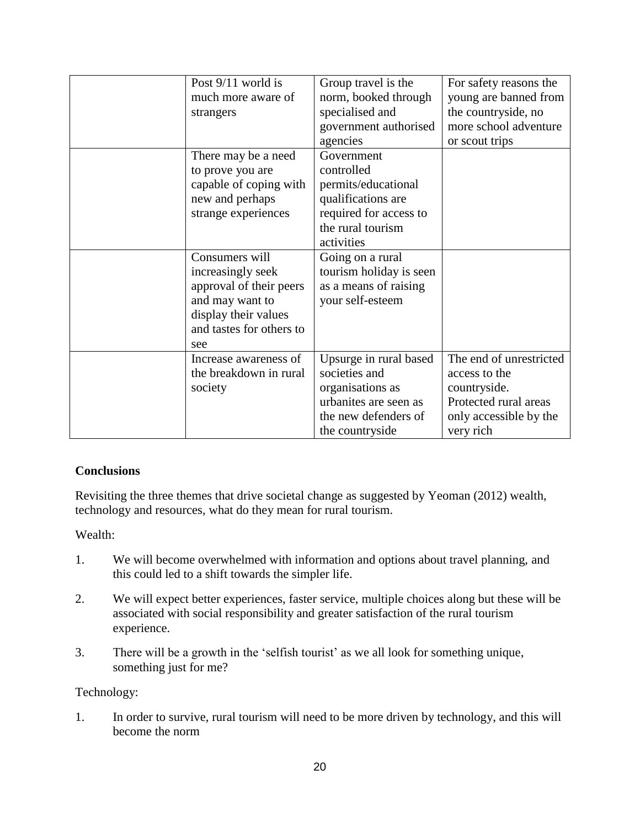| Post 9/11 world is       | Group travel is the     | For safety reasons the  |
|--------------------------|-------------------------|-------------------------|
| much more aware of       | norm, booked through    | young are banned from   |
| strangers                | specialised and         | the countryside, no     |
|                          | government authorised   | more school adventure   |
|                          | agencies                | or scout trips          |
| There may be a need      | Government              |                         |
| to prove you are         | controlled              |                         |
| capable of coping with   | permits/educational     |                         |
| new and perhaps          | qualifications are      |                         |
| strange experiences      | required for access to  |                         |
|                          | the rural tourism       |                         |
|                          | activities              |                         |
| Consumers will           | Going on a rural        |                         |
| increasingly seek        | tourism holiday is seen |                         |
| approval of their peers  | as a means of raising   |                         |
| and may want to          | your self-esteem        |                         |
| display their values     |                         |                         |
| and tastes for others to |                         |                         |
| see                      |                         |                         |
| Increase awareness of    | Upsurge in rural based  | The end of unrestricted |
| the breakdown in rural   | societies and           | access to the           |
| society                  | organisations as        | countryside.            |
|                          | urbanites are seen as   | Protected rural areas   |
|                          | the new defenders of    | only accessible by the  |
|                          | the countryside         | very rich               |

## **Conclusions**

Revisiting the three themes that drive societal change as suggested by Yeoman (2012) wealth, technology and resources, what do they mean for rural tourism.

Wealth:

- 1. We will become overwhelmed with information and options about travel planning, and this could led to a shift towards the simpler life.
- 2. We will expect better experiences, faster service, multiple choices along but these will be associated with social responsibility and greater satisfaction of the rural tourism experience.
- 3. There will be a growth in the 'selfish tourist' as we all look for something unique, something just for me?

## Technology:

1. In order to survive, rural tourism will need to be more driven by technology, and this will become the norm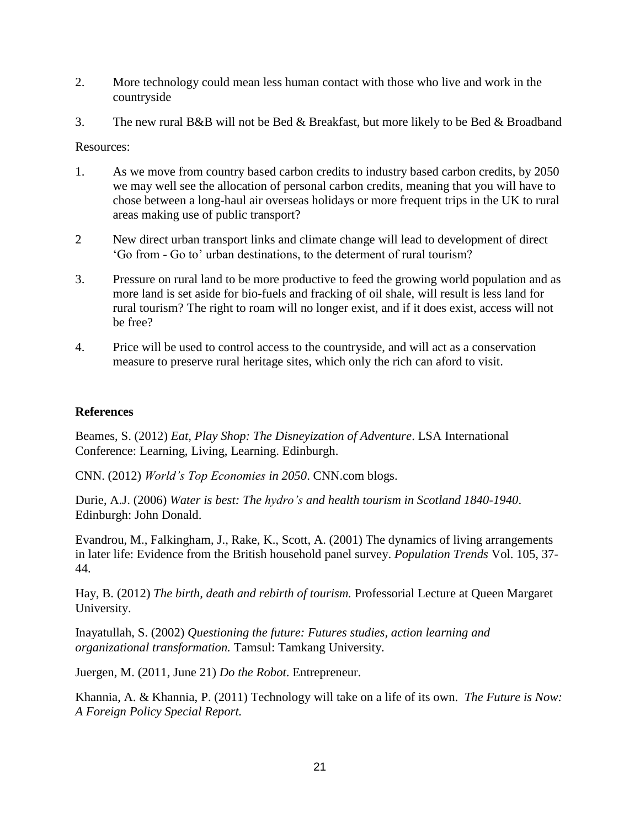- 2. More technology could mean less human contact with those who live and work in the countryside
- 3. The new rural B&B will not be Bed & Breakfast, but more likely to be Bed & Broadband

Resources:

- 1. As we move from country based carbon credits to industry based carbon credits, by 2050 we may well see the allocation of personal carbon credits, meaning that you will have to chose between a long-haul air overseas holidays or more frequent trips in the UK to rural areas making use of public transport?
- 2 New direct urban transport links and climate change will lead to development of direct 'Go from - Go to' urban destinations, to the determent of rural tourism?
- 3. Pressure on rural land to be more productive to feed the growing world population and as more land is set aside for bio-fuels and fracking of oil shale, will result is less land for rural tourism? The right to roam will no longer exist, and if it does exist, access will not be free?
- 4. Price will be used to control access to the countryside, and will act as a conservation measure to preserve rural heritage sites, which only the rich can aford to visit.

### **References**

Beames, S. (2012) *Eat, Play Shop: The Disneyization of Adventure*. LSA International Conference: Learning, Living, Learning. Edinburgh.

CNN. (2012) *World's Top Economies in 2050*. CNN.com blogs.

Durie, A.J. (2006) *Water is best: The hydro's and health tourism in Scotland 1840-1940*. Edinburgh: John Donald.

Evandrou, M., Falkingham, J., Rake, K., Scott, A. (2001) The dynamics of living arrangements in later life: Evidence from the British household panel survey. *Population Trends* Vol. 105, 37- 44.

Hay, B. (2012) *The birth, death and rebirth of tourism.* Professorial Lecture at Queen Margaret University.

Inayatullah, S. (2002) *Questioning the future: Futures studies, action learning and organizational transformation.* Tamsul: Tamkang University.

Juergen, M. (2011, June 21) *Do the Robot*. Entrepreneur.

Khannia, A. & Khannia, P. (2011) Technology will take on a life of its own. *The Future is Now: A Foreign Policy Special Report.*